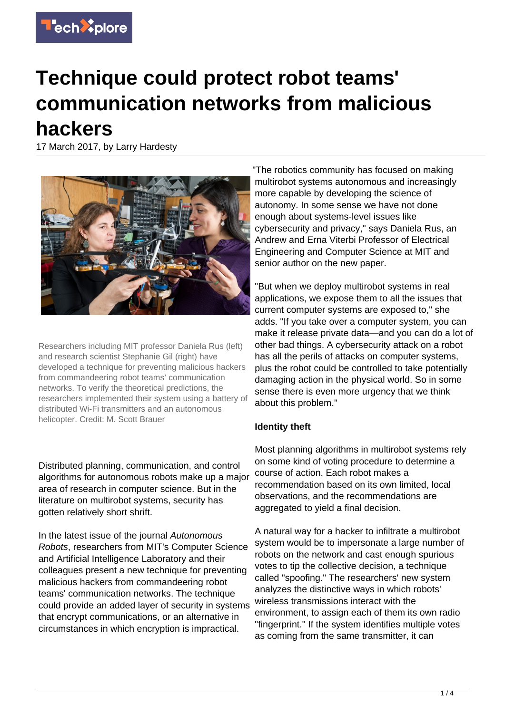

## **Technique could protect robot teams' communication networks from malicious hackers**

17 March 2017, by Larry Hardesty



Researchers including MIT professor Daniela Rus (left) and research scientist Stephanie Gil (right) have developed a technique for preventing malicious hackers from commandeering robot teams' communication networks. To verify the theoretical predictions, the researchers implemented their system using a battery of distributed Wi-Fi transmitters and an autonomous helicopter. Credit: M. Scott Brauer

Distributed planning, communication, and control algorithms for autonomous robots make up a major area of research in computer science. But in the literature on multirobot systems, security has gotten relatively short shrift.

In the latest issue of the journal Autonomous Robots, researchers from MIT's Computer Science and Artificial Intelligence Laboratory and their colleagues present a new technique for preventing malicious hackers from commandeering robot teams' communication networks. The technique could provide an added layer of security in systems that encrypt communications, or an alternative in circumstances in which encryption is impractical.

"The robotics community has focused on making multirobot systems autonomous and increasingly more capable by developing the science of autonomy. In some sense we have not done enough about systems-level issues like cybersecurity and privacy," says Daniela Rus, an Andrew and Erna Viterbi Professor of Electrical Engineering and Computer Science at MIT and senior author on the new paper.

"But when we deploy multirobot systems in real applications, we expose them to all the issues that current computer systems are exposed to," she adds. "If you take over a computer system, you can make it release private data—and you can do a lot of other bad things. A cybersecurity attack on a robot has all the perils of attacks on computer systems, plus the robot could be controlled to take potentially damaging action in the physical world. So in some sense there is even more urgency that we think about this problem."

## **Identity theft**

Most planning algorithms in multirobot systems rely on some kind of voting procedure to determine a course of action. Each robot makes a recommendation based on its own limited, local observations, and the recommendations are aggregated to yield a final decision.

A natural way for a hacker to infiltrate a multirobot system would be to impersonate a large number of robots on the network and cast enough spurious votes to tip the collective decision, a technique called "spoofing." The researchers' new system analyzes the distinctive ways in which robots' wireless transmissions interact with the environment, to assign each of them its own radio "fingerprint." If the system identifies multiple votes as coming from the same transmitter, it can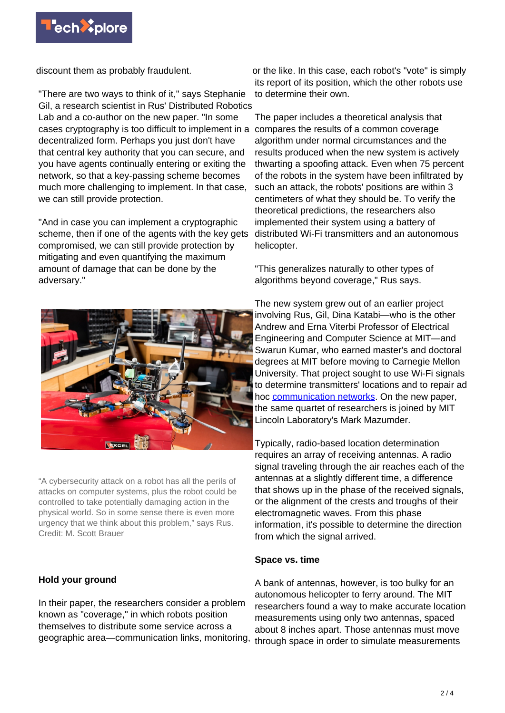

discount them as probably fraudulent.

"There are two ways to think of it," says Stephanie Gil, a research scientist in Rus' Distributed Robotics Lab and a co-author on the new paper. "In some cases cryptography is too difficult to implement in a compares the results of a common coverage decentralized form. Perhaps you just don't have that central key authority that you can secure, and you have agents continually entering or exiting the network, so that a key-passing scheme becomes much more challenging to implement. In that case, we can still provide protection.

"And in case you can implement a cryptographic scheme, then if one of the agents with the key gets compromised, we can still provide protection by mitigating and even quantifying the maximum amount of damage that can be done by the adversary."



"A cybersecurity attack on a robot has all the perils of attacks on computer systems, plus the robot could be controlled to take potentially damaging action in the physical world. So in some sense there is even more urgency that we think about this problem," says Rus. Credit: M. Scott Brauer

## **Hold your ground**

In their paper, the researchers consider a problem known as "coverage," in which robots position themselves to distribute some service across a geographic area—communication links, monitoring,

or the like. In this case, each robot's "vote" is simply its report of its position, which the other robots use to determine their own.

The paper includes a theoretical analysis that algorithm under normal circumstances and the results produced when the new system is actively thwarting a spoofing attack. Even when 75 percent of the robots in the system have been infiltrated by such an attack, the robots' positions are within 3 centimeters of what they should be. To verify the theoretical predictions, the researchers also implemented their system using a battery of distributed Wi-Fi transmitters and an autonomous helicopter.

"This generalizes naturally to other types of algorithms beyond coverage," Rus says.

The new system grew out of an earlier project involving Rus, Gil, Dina Katabi—who is the other Andrew and Erna Viterbi Professor of Electrical Engineering and Computer Science at MIT—and Swarun Kumar, who earned master's and doctoral degrees at MIT before moving to Carnegie Mellon University. That project sought to use Wi-Fi signals to determine transmitters' locations and to repair ad hoc [communication networks](https://techxplore.com/tags/communication+networks/). On the new paper, the same quartet of researchers is joined by MIT Lincoln Laboratory's Mark Mazumder.

Typically, radio-based location determination requires an array of receiving antennas. A radio signal traveling through the air reaches each of the antennas at a slightly different time, a difference that shows up in the phase of the received signals, or the alignment of the crests and troughs of their electromagnetic waves. From this phase information, it's possible to determine the direction from which the signal arrived.

## **Space vs. time**

A bank of antennas, however, is too bulky for an autonomous helicopter to ferry around. The MIT researchers found a way to make accurate location measurements using only two antennas, spaced about 8 inches apart. Those antennas must move through space in order to simulate measurements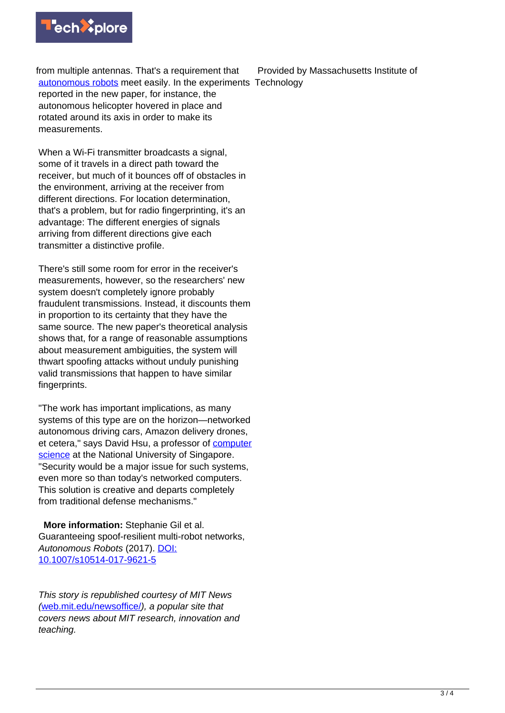

from multiple antennas. That's a requirement that [autonomous robots](https://techxplore.com/tags/autonomous+robots/) meet easily. In the experiments Technology reported in the new paper, for instance, the autonomous helicopter hovered in place and rotated around its axis in order to make its measurements.

When a Wi-Fi transmitter broadcasts a signal, some of it travels in a direct path toward the receiver, but much of it bounces off of obstacles in the environment, arriving at the receiver from different directions. For location determination, that's a problem, but for radio fingerprinting, it's an advantage: The different energies of signals arriving from different directions give each transmitter a distinctive profile.

There's still some room for error in the receiver's measurements, however, so the researchers' new system doesn't completely ignore probably fraudulent transmissions. Instead, it discounts them in proportion to its certainty that they have the same source. The new paper's theoretical analysis shows that, for a range of reasonable assumptions about measurement ambiguities, the system will thwart spoofing attacks without unduly punishing valid transmissions that happen to have similar fingerprints.

"The work has important implications, as many systems of this type are on the horizon—networked autonomous driving cars, Amazon delivery drones, et cetera," says David Hsu, a professor of [computer](https://techxplore.com/tags/computer+science/) [science](https://techxplore.com/tags/computer+science/) at the National University of Singapore. "Security would be a major issue for such systems, even more so than today's networked computers. This solution is creative and departs completely from traditional defense mechanisms."

 **More information:** Stephanie Gil et al. Guaranteeing spoof-resilient multi-robot networks, Autonomous Robots (2017). [DOI:](http://dx.doi.org/10.1007/s10514-017-9621-5) [10.1007/s10514-017-9621-5](http://dx.doi.org/10.1007/s10514-017-9621-5)

This story is republished courtesy of MIT News ([web.mit.edu/newsoffice/](http://web.mit.edu/newsoffice/)), a popular site that covers news about MIT research, innovation and teaching.

Provided by Massachusetts Institute of